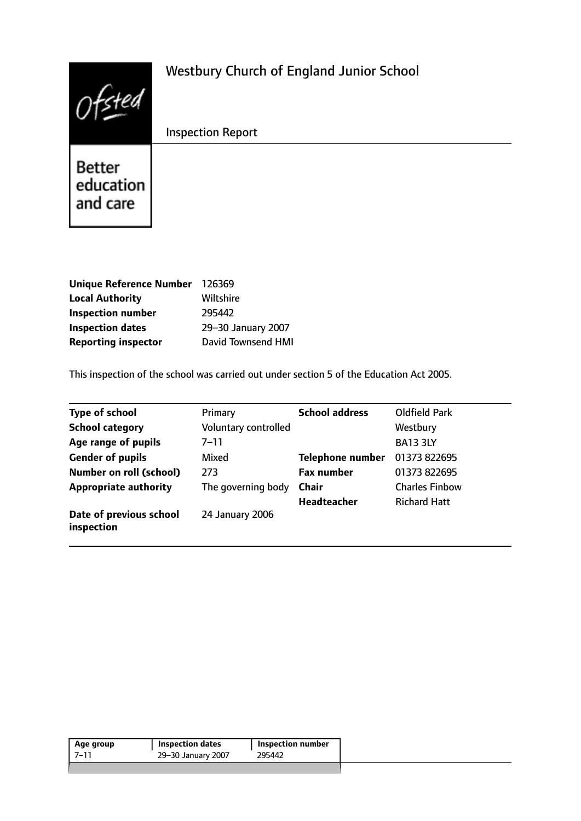| 121                             | <b>Westbury Church of England Junior School</b> |
|---------------------------------|-------------------------------------------------|
|                                 | <b>Inspection Report</b>                        |
| Better<br>education<br>and care |                                                 |

| Unique Reference Number 126369 |                           |
|--------------------------------|---------------------------|
| <b>Local Authority</b>         | Wiltshire                 |
| <b>Inspection number</b>       | 295442                    |
| <b>Inspection dates</b>        | 29-30 January 2007        |
| <b>Reporting inspector</b>     | <b>David Townsend HMI</b> |

This inspection of the school was carried out under section 5 of the Education Act 2005.

| <b>Type of school</b>                 | Primary              | <b>School address</b>   | <b>Oldfield Park</b>  |
|---------------------------------------|----------------------|-------------------------|-----------------------|
| <b>School category</b>                | Voluntary controlled |                         | Westbury              |
| Age range of pupils                   | $7 - 11$             |                         | <b>BA13 3LY</b>       |
| <b>Gender of pupils</b>               | Mixed                | <b>Telephone number</b> | 01373 822695          |
| <b>Number on roll (school)</b>        | 273                  | <b>Fax number</b>       | 01373 822695          |
| <b>Appropriate authority</b>          | The governing body   | <b>Chair</b>            | <b>Charles Finbow</b> |
|                                       |                      | <b>Headteacher</b>      | <b>Richard Hatt</b>   |
| Date of previous school<br>inspection | 24 January 2006      |                         |                       |

| Age group | <b>Inspection dates</b> | <b>Inspection number</b> |  |
|-----------|-------------------------|--------------------------|--|
| 7–11      | 29-30 January 2007      | 295442                   |  |
|           |                         |                          |  |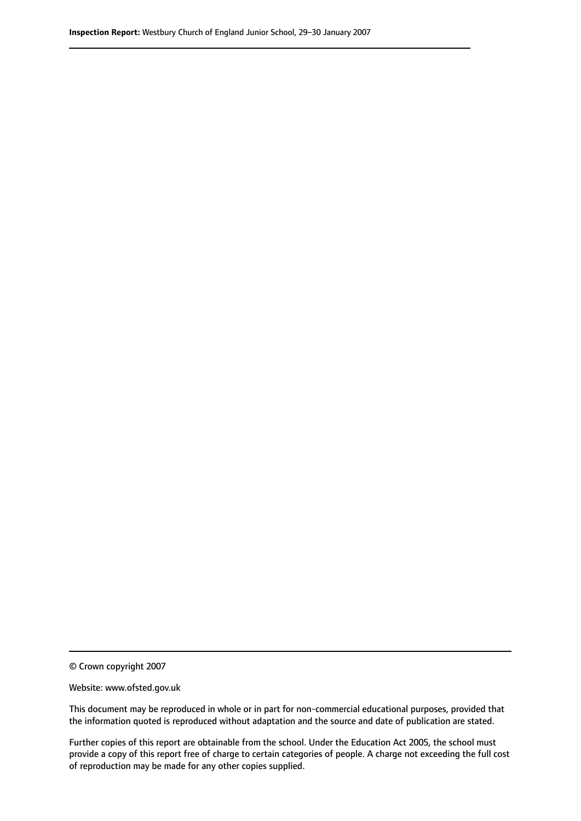© Crown copyright 2007

Website: www.ofsted.gov.uk

This document may be reproduced in whole or in part for non-commercial educational purposes, provided that the information quoted is reproduced without adaptation and the source and date of publication are stated.

Further copies of this report are obtainable from the school. Under the Education Act 2005, the school must provide a copy of this report free of charge to certain categories of people. A charge not exceeding the full cost of reproduction may be made for any other copies supplied.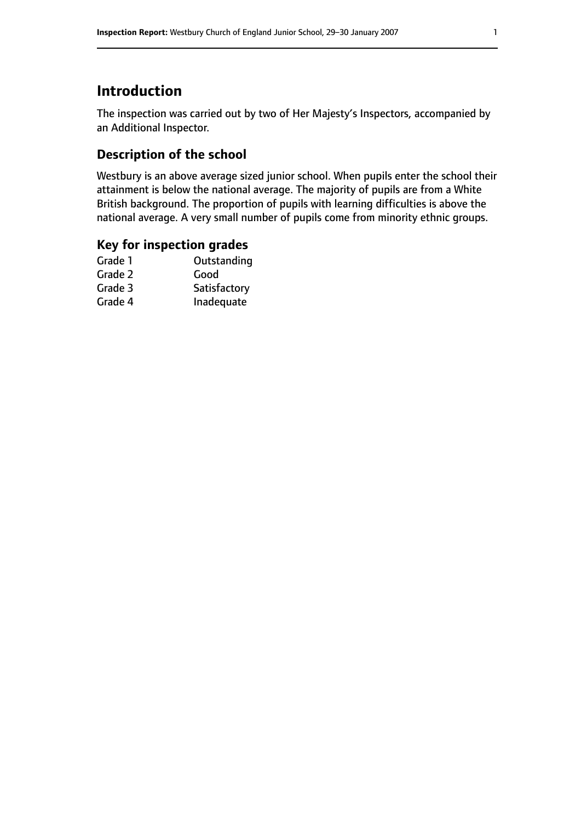# **Introduction**

The inspection was carried out by two of Her Majesty's Inspectors, accompanied by an Additional Inspector.

# **Description of the school**

Westbury is an above average sized junior school. When pupils enter the school their attainment is below the national average. The majority of pupils are from a White British background. The proportion of pupils with learning difficulties is above the national average. A very small number of pupils come from minority ethnic groups.

### **Key for inspection grades**

| Good         |
|--------------|
|              |
| Satisfactory |
| Inadequate   |
|              |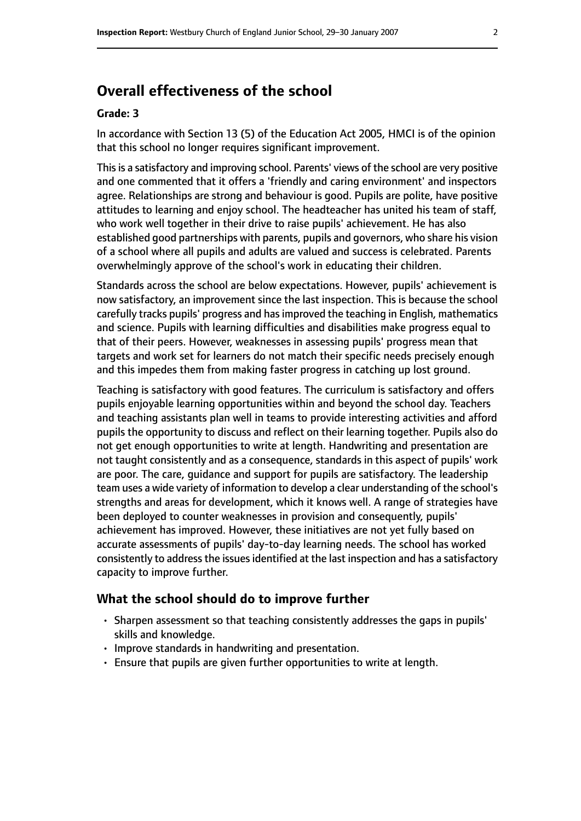# **Overall effectiveness of the school**

#### **Grade: 3**

In accordance with Section 13 (5) of the Education Act 2005, HMCI is of the opinion that this school no longer requires significant improvement.

This is a satisfactory and improving school. Parents' views of the school are very positive and one commented that it offers a 'friendly and caring environment' and inspectors agree. Relationships are strong and behaviour is good. Pupils are polite, have positive attitudes to learning and enjoy school. The headteacher has united his team of staff, who work well together in their drive to raise pupils' achievement. He has also established good partnerships with parents, pupils and governors, who share his vision of a school where all pupils and adults are valued and success is celebrated. Parents overwhelmingly approve of the school's work in educating their children.

Standards across the school are below expectations. However, pupils' achievement is now satisfactory, an improvement since the last inspection. This is because the school carefully tracks pupils' progress and hasimproved the teaching in English, mathematics and science. Pupils with learning difficulties and disabilities make progress equal to that of their peers. However, weaknesses in assessing pupils' progress mean that targets and work set for learners do not match their specific needs precisely enough and this impedes them from making faster progress in catching up lost ground.

Teaching is satisfactory with good features. The curriculum is satisfactory and offers pupils enjoyable learning opportunities within and beyond the school day. Teachers and teaching assistants plan well in teams to provide interesting activities and afford pupils the opportunity to discuss and reflect on their learning together. Pupils also do not get enough opportunities to write at length. Handwriting and presentation are not taught consistently and as a consequence, standards in this aspect of pupils' work are poor. The care, guidance and support for pupils are satisfactory. The leadership team uses a wide variety of information to develop a clear understanding of the school's strengths and areas for development, which it knows well. A range of strategies have been deployed to counter weaknesses in provision and consequently, pupils' achievement has improved. However, these initiatives are not yet fully based on accurate assessments of pupils' day-to-day learning needs. The school has worked consistently to address the issues identified at the last inspection and has a satisfactory capacity to improve further.

#### **What the school should do to improve further**

- Sharpen assessment so that teaching consistently addresses the gaps in pupils' skills and knowledge.
- Improve standards in handwriting and presentation.
- Ensure that pupils are given further opportunities to write at length.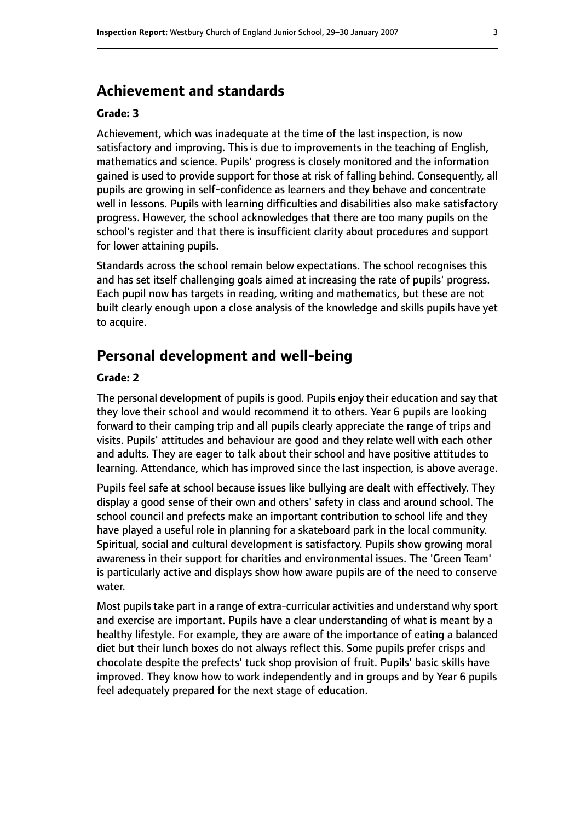### **Achievement and standards**

#### **Grade: 3**

Achievement, which was inadequate at the time of the last inspection, is now satisfactory and improving. This is due to improvements in the teaching of English, mathematics and science. Pupils' progress is closely monitored and the information gained is used to provide support for those at risk of falling behind. Consequently, all pupils are growing in self-confidence as learners and they behave and concentrate well in lessons. Pupils with learning difficulties and disabilities also make satisfactory progress. However, the school acknowledges that there are too many pupils on the school's register and that there is insufficient clarity about procedures and support for lower attaining pupils.

Standards across the school remain below expectations. The school recognises this and has set itself challenging goals aimed at increasing the rate of pupils' progress. Each pupil now has targets in reading, writing and mathematics, but these are not built clearly enough upon a close analysis of the knowledge and skills pupils have yet to acquire.

### **Personal development and well-being**

#### **Grade: 2**

The personal development of pupils is good. Pupils enjoy their education and say that they love their school and would recommend it to others. Year 6 pupils are looking forward to their camping trip and all pupils clearly appreciate the range of trips and visits. Pupils' attitudes and behaviour are good and they relate well with each other and adults. They are eager to talk about their school and have positive attitudes to learning. Attendance, which has improved since the last inspection, is above average.

Pupils feel safe at school because issues like bullying are dealt with effectively. They display a good sense of their own and others' safety in class and around school. The school council and prefects make an important contribution to school life and they have played a useful role in planning for a skateboard park in the local community. Spiritual, social and cultural development is satisfactory. Pupils show growing moral awareness in their support for charities and environmental issues. The 'Green Team' is particularly active and displays show how aware pupils are of the need to conserve water.

Most pupils take part in a range of extra-curricular activities and understand why sport and exercise are important. Pupils have a clear understanding of what is meant by a healthy lifestyle. For example, they are aware of the importance of eating a balanced diet but their lunch boxes do not always reflect this. Some pupils prefer crisps and chocolate despite the prefects' tuck shop provision of fruit. Pupils' basic skills have improved. They know how to work independently and in groups and by Year 6 pupils feel adequately prepared for the next stage of education.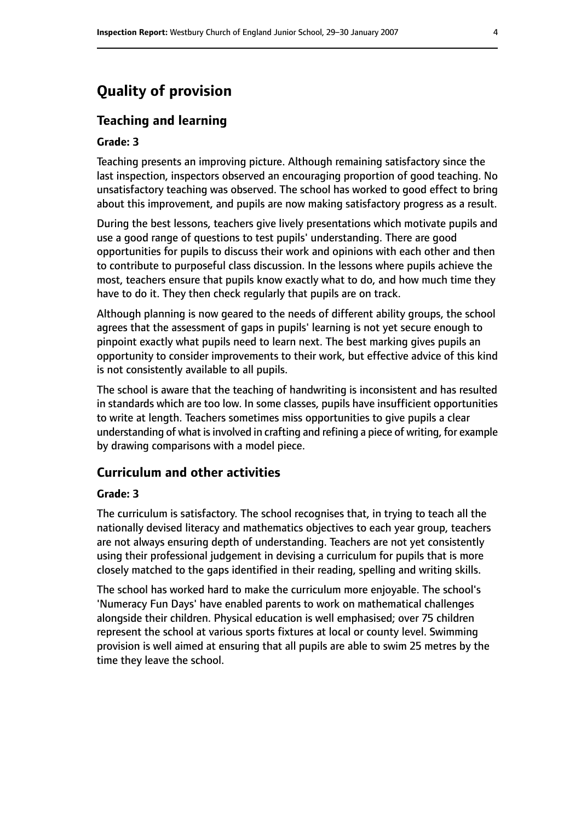# **Quality of provision**

#### **Teaching and learning**

#### **Grade: 3**

Teaching presents an improving picture. Although remaining satisfactory since the last inspection, inspectors observed an encouraging proportion of good teaching. No unsatisfactory teaching was observed. The school has worked to good effect to bring about this improvement, and pupils are now making satisfactory progress as a result.

During the best lessons, teachers give lively presentations which motivate pupils and use a good range of questions to test pupils' understanding. There are good opportunities for pupils to discuss their work and opinions with each other and then to contribute to purposeful class discussion. In the lessons where pupils achieve the most, teachers ensure that pupils know exactly what to do, and how much time they have to do it. They then check regularly that pupils are on track.

Although planning is now geared to the needs of different ability groups, the school agrees that the assessment of gaps in pupils' learning is not yet secure enough to pinpoint exactly what pupils need to learn next. The best marking gives pupils an opportunity to consider improvements to their work, but effective advice of this kind is not consistently available to all pupils.

The school is aware that the teaching of handwriting is inconsistent and has resulted in standards which are too low. In some classes, pupils have insufficient opportunities to write at length. Teachers sometimes miss opportunities to give pupils a clear understanding of what is involved in crafting and refining a piece of writing, for example by drawing comparisons with a model piece.

#### **Curriculum and other activities**

#### **Grade: 3**

The curriculum is satisfactory. The school recognises that, in trying to teach all the nationally devised literacy and mathematics objectives to each year group, teachers are not always ensuring depth of understanding. Teachers are not yet consistently using their professional judgement in devising a curriculum for pupils that is more closely matched to the gaps identified in their reading, spelling and writing skills.

The school has worked hard to make the curriculum more enjoyable. The school's 'Numeracy Fun Days' have enabled parents to work on mathematical challenges alongside their children. Physical education is well emphasised; over 75 children represent the school at various sports fixtures at local or county level. Swimming provision is well aimed at ensuring that all pupils are able to swim 25 metres by the time they leave the school.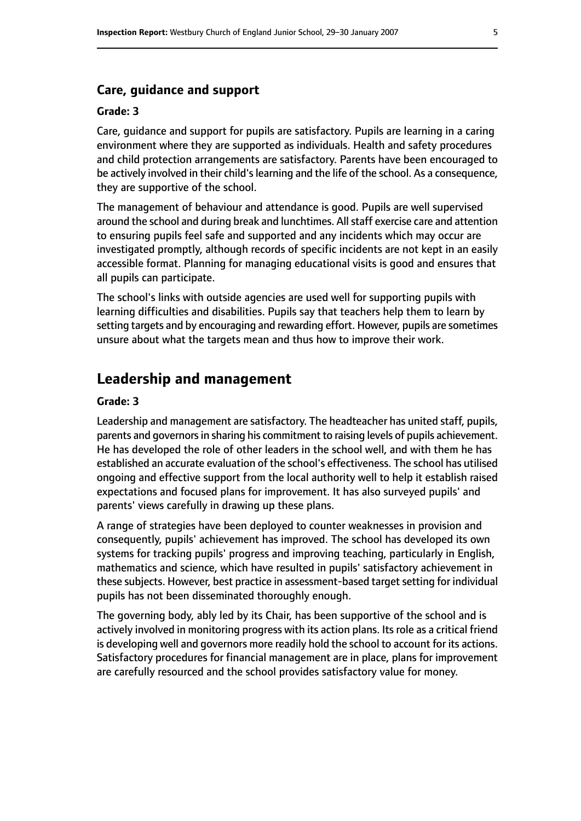#### **Care, guidance and support**

#### **Grade: 3**

Care, guidance and support for pupils are satisfactory. Pupils are learning in a caring environment where they are supported as individuals. Health and safety procedures and child protection arrangements are satisfactory. Parents have been encouraged to be actively involved in their child's learning and the life of the school. As a consequence, they are supportive of the school.

The management of behaviour and attendance is good. Pupils are well supervised around the school and during break and lunchtimes. All staff exercise care and attention to ensuring pupils feel safe and supported and any incidents which may occur are investigated promptly, although records of specific incidents are not kept in an easily accessible format. Planning for managing educational visits is good and ensures that all pupils can participate.

The school's links with outside agencies are used well for supporting pupils with learning difficulties and disabilities. Pupils say that teachers help them to learn by setting targets and by encouraging and rewarding effort. However, pupils are sometimes unsure about what the targets mean and thus how to improve their work.

### **Leadership and management**

#### **Grade: 3**

Leadership and management are satisfactory. The headteacher has united staff, pupils, parents and governors in sharing his commitment to raising levels of pupils achievement. He has developed the role of other leaders in the school well, and with them he has established an accurate evaluation of the school's effectiveness. The school has utilised ongoing and effective support from the local authority well to help it establish raised expectations and focused plans for improvement. It has also surveyed pupils' and parents' views carefully in drawing up these plans.

A range of strategies have been deployed to counter weaknesses in provision and consequently, pupils' achievement has improved. The school has developed its own systems for tracking pupils' progress and improving teaching, particularly in English, mathematics and science, which have resulted in pupils' satisfactory achievement in these subjects. However, best practice in assessment-based target setting for individual pupils has not been disseminated thoroughly enough.

The governing body, ably led by its Chair, has been supportive of the school and is actively involved in monitoring progress with its action plans. Its role as a critical friend is developing well and governors more readily hold the school to account for its actions. Satisfactory procedures for financial management are in place, plans for improvement are carefully resourced and the school provides satisfactory value for money.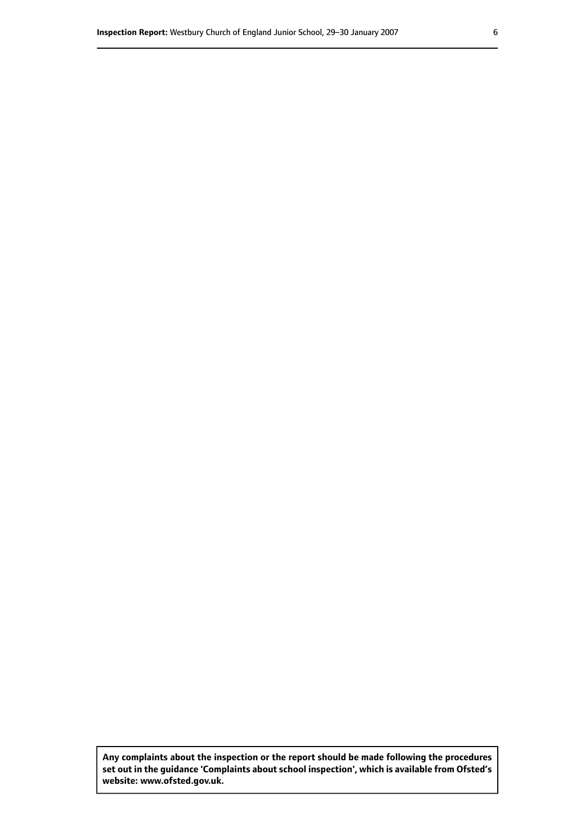**Any complaints about the inspection or the report should be made following the procedures set out inthe guidance 'Complaints about school inspection', whichis available from Ofsted's website: www.ofsted.gov.uk.**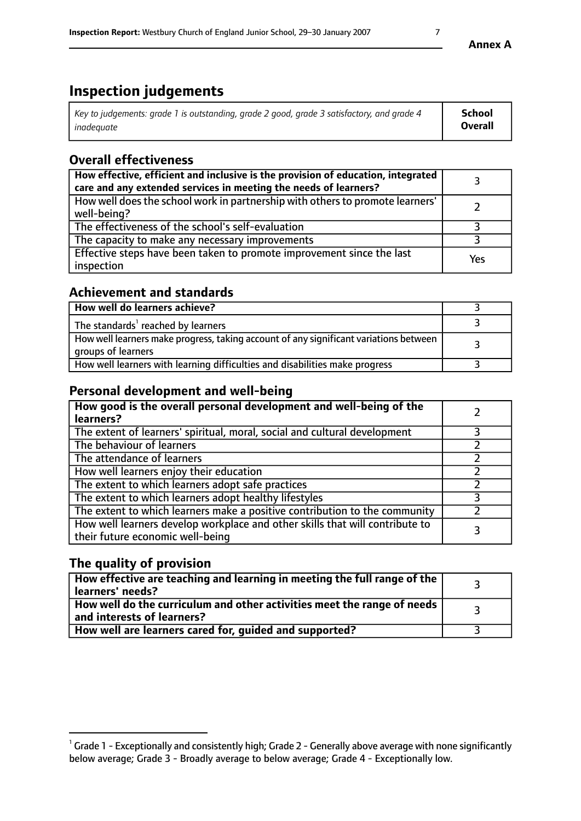# **Inspection judgements**

| Key to judgements: grade 1 is outstanding, grade 2 good, grade 3 satisfactory, and grade 4 | School  |
|--------------------------------------------------------------------------------------------|---------|
| inadeauate                                                                                 | Overall |

### **Overall effectiveness**

| How effective, efficient and inclusive is the provision of education, integrated<br>care and any extended services in meeting the needs of learners? |     |
|------------------------------------------------------------------------------------------------------------------------------------------------------|-----|
| How well does the school work in partnership with others to promote learners'<br>well-being?                                                         |     |
| The effectiveness of the school's self-evaluation                                                                                                    |     |
| The capacity to make any necessary improvements                                                                                                      |     |
| Effective steps have been taken to promote improvement since the last<br>inspection                                                                  | Yes |

### **Achievement and standards**

| How well do learners achieve?                                                                               |  |
|-------------------------------------------------------------------------------------------------------------|--|
| The standards <sup>1</sup> reached by learners                                                              |  |
| How well learners make progress, taking account of any significant variations between<br>groups of learners |  |
| How well learners with learning difficulties and disabilities make progress                                 |  |

### **Personal development and well-being**

| How good is the overall personal development and well-being of the<br>learners?                                  |   |
|------------------------------------------------------------------------------------------------------------------|---|
| The extent of learners' spiritual, moral, social and cultural development                                        |   |
| The behaviour of learners                                                                                        |   |
| The attendance of learners                                                                                       |   |
| How well learners enjoy their education                                                                          |   |
| The extent to which learners adopt safe practices                                                                |   |
| The extent to which learners adopt healthy lifestyles                                                            |   |
| The extent to which learners make a positive contribution to the community                                       |   |
| How well learners develop workplace and other skills that will contribute to<br>their future economic well-being | 3 |

# **The quality of provision**

| $\mid$ How effective are teaching and learning in meeting the full range of the $\mid$<br>learners' needs? |  |
|------------------------------------------------------------------------------------------------------------|--|
| How well do the curriculum and other activities meet the range of needs<br>and interests of learners?      |  |
| How well are learners cared for, guided and supported?                                                     |  |

 $^1$  Grade 1 - Exceptionally and consistently high; Grade 2 - Generally above average with none significantly below average; Grade 3 - Broadly average to below average; Grade 4 - Exceptionally low.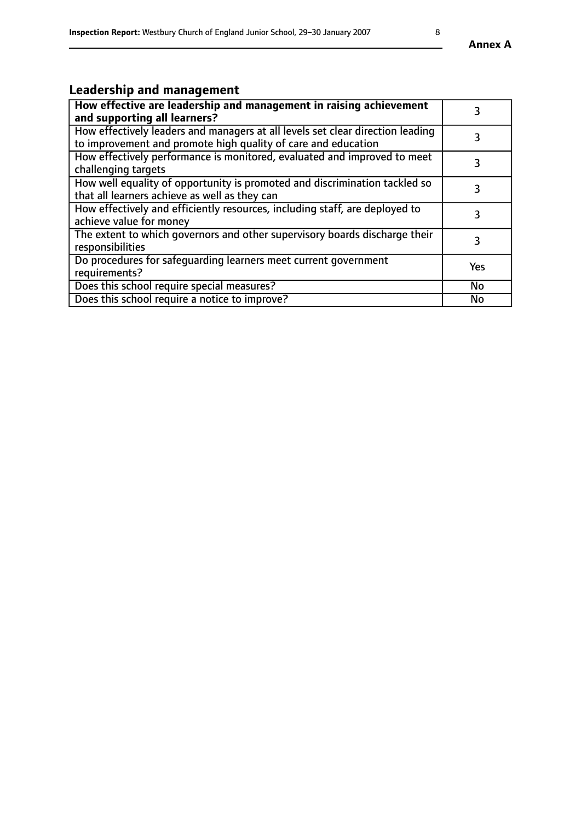# **Leadership and management**

| How effective are leadership and management in raising achievement<br>and supporting all learners?                                              | 3   |
|-------------------------------------------------------------------------------------------------------------------------------------------------|-----|
| How effectively leaders and managers at all levels set clear direction leading<br>to improvement and promote high quality of care and education |     |
| How effectively performance is monitored, evaluated and improved to meet<br>challenging targets                                                 | 3   |
| How well equality of opportunity is promoted and discrimination tackled so<br>that all learners achieve as well as they can                     |     |
| How effectively and efficiently resources, including staff, are deployed to<br>achieve value for money                                          | 3   |
| The extent to which governors and other supervisory boards discharge their<br>responsibilities                                                  | 3   |
| Do procedures for safequarding learners meet current government<br>requirements?                                                                | Yes |
| Does this school require special measures?                                                                                                      | No  |
| Does this school require a notice to improve?                                                                                                   | No  |